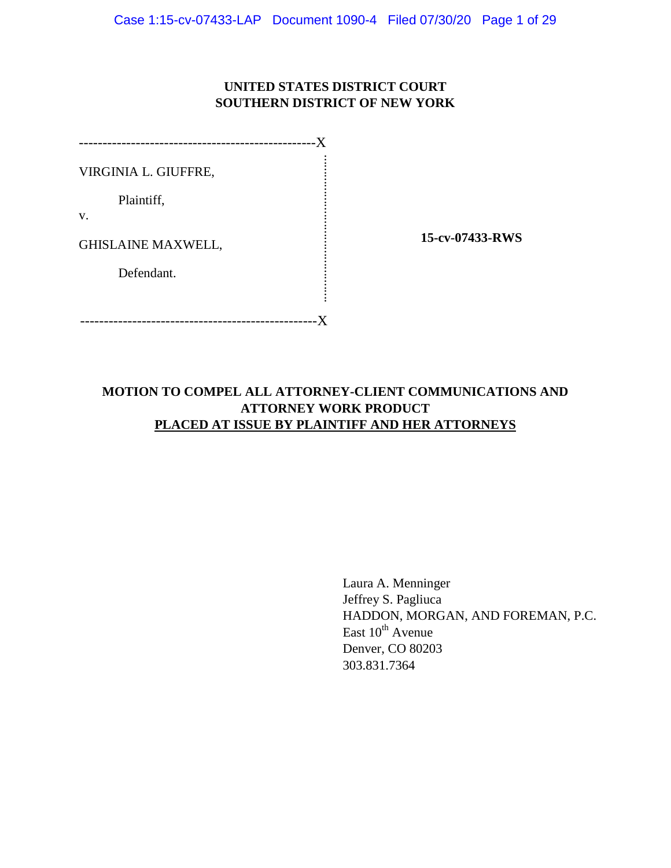# **UNITED STATES DISTRICT COURT SOUTHERN DISTRICT OF NEW YORK**

| Y                         |  |
|---------------------------|--|
| VIRGINIA L. GIUFFRE,      |  |
| Plaintiff,<br>v.          |  |
| <b>GHISLAINE MAXWELL,</b> |  |
| Defendant.                |  |
|                           |  |
|                           |  |

**15-cv-07433-RWS**

# **MOTION TO COMPEL ALL ATTORNEY-CLIENT COMMUNICATIONS AND ATTORNEY WORK PRODUCT PLACED AT ISSUE BY PLAINTIFF AND HER ATTORNEYS**

Laura A. Menninger Jeffrey S. Pagliuca HADDON, MORGAN, AND FOREMAN, P.C. East  $10^{th}$  Avenue Denver, CO 80203 303.831.7364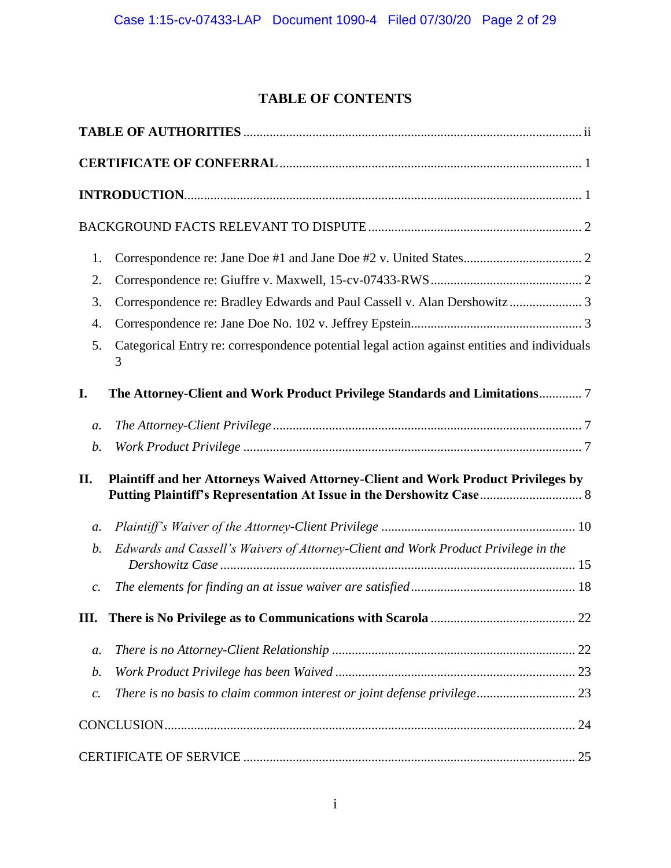# **TABLE OF CONTENTS**

| 1.              |                                                                                                                                                           |
|-----------------|-----------------------------------------------------------------------------------------------------------------------------------------------------------|
| 2.              |                                                                                                                                                           |
| 3.              | Correspondence re: Bradley Edwards and Paul Cassell v. Alan Dershowitz 3                                                                                  |
| 4.              |                                                                                                                                                           |
| 5.              | Categorical Entry re: correspondence potential legal action against entities and individuals<br>3                                                         |
| I.              | The Attorney-Client and Work Product Privilege Standards and Limitations 7                                                                                |
| $a$ .           |                                                                                                                                                           |
| $\mathfrak{b}.$ |                                                                                                                                                           |
| П.              | Plaintiff and her Attorneys Waived Attorney-Client and Work Product Privileges by<br>Putting Plaintiff's Representation At Issue in the Dershowitz Case 8 |
| a.              |                                                                                                                                                           |
| b.              | Edwards and Cassell's Waivers of Attorney-Client and Work Product Privilege in the                                                                        |
| $\mathcal{C}$ . |                                                                                                                                                           |
| III.            |                                                                                                                                                           |
| $a$ .           |                                                                                                                                                           |
| b.              |                                                                                                                                                           |
| $\mathcal{C}$ . | There is no basis to claim common interest or joint defense privilege 23                                                                                  |
|                 |                                                                                                                                                           |
|                 |                                                                                                                                                           |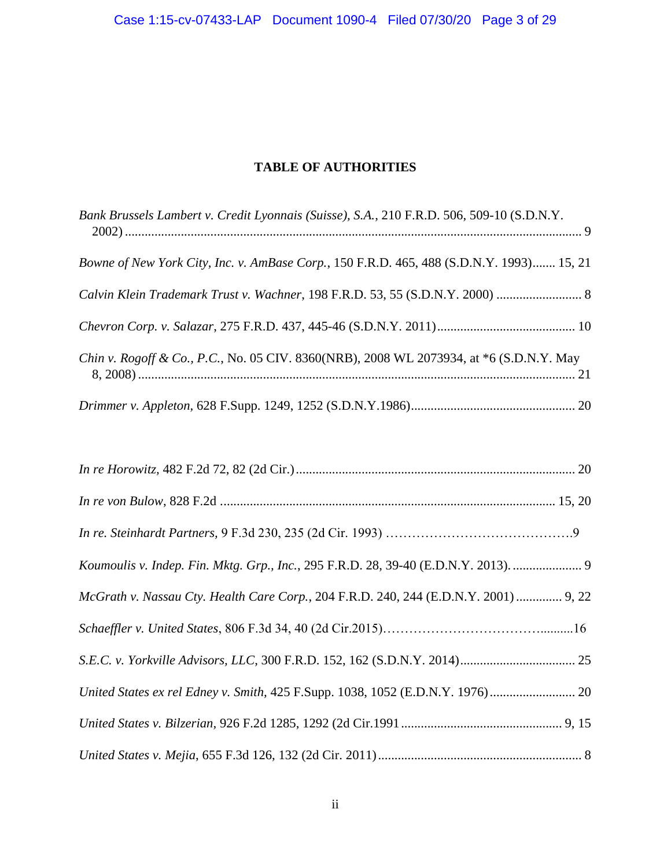# **TABLE OF AUTHORITIES**

<span id="page-2-0"></span>

| Bank Brussels Lambert v. Credit Lyonnais (Suisse), S.A., 210 F.R.D. 506, 509-10 (S.D.N.Y. |
|-------------------------------------------------------------------------------------------|
| Bowne of New York City, Inc. v. AmBase Corp., 150 F.R.D. 465, 488 (S.D.N.Y. 1993) 15, 21  |
| Calvin Klein Trademark Trust v. Wachner, 198 F.R.D. 53, 55 (S.D.N.Y. 2000)  8             |
|                                                                                           |
| Chin v. Rogoff & Co., P.C., No. 05 CIV. 8360(NRB), 2008 WL 2073934, at *6 (S.D.N.Y. May   |
|                                                                                           |

| Koumoulis v. Indep. Fin. Mktg. Grp., Inc., 295 F.R.D. 28, 39-40 (E.D.N.Y. 2013).  9  |  |
|--------------------------------------------------------------------------------------|--|
| McGrath v. Nassau Cty. Health Care Corp., 204 F.R.D. 240, 244 (E.D.N.Y. 2001)  9, 22 |  |
|                                                                                      |  |
|                                                                                      |  |
|                                                                                      |  |
|                                                                                      |  |
|                                                                                      |  |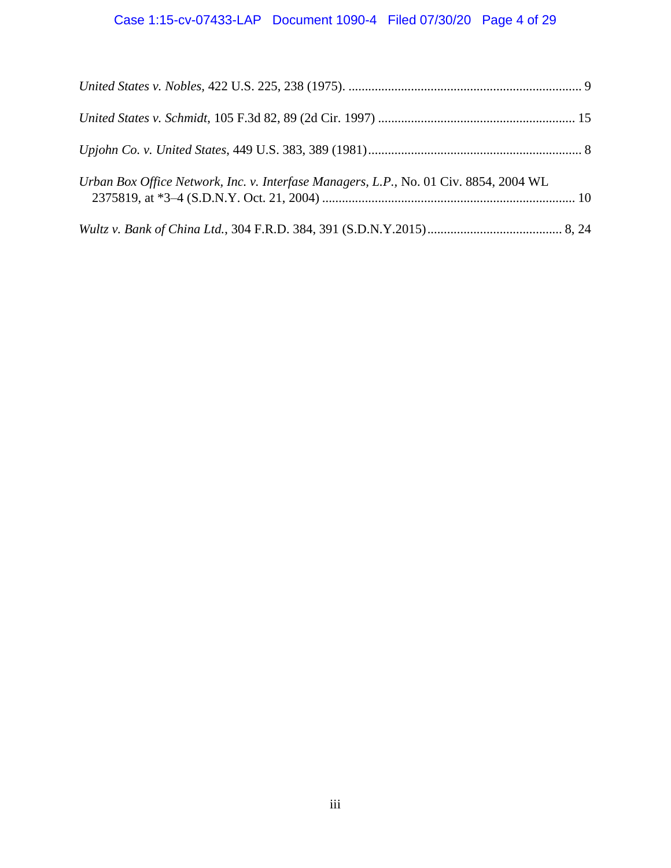# Case 1:15-cv-07433-LAP Document 1090-4 Filed 07/30/20 Page 4 of 29

| Urban Box Office Network, Inc. v. Interfase Managers, L.P., No. 01 Civ. 8854, 2004 WL |  |
|---------------------------------------------------------------------------------------|--|
|                                                                                       |  |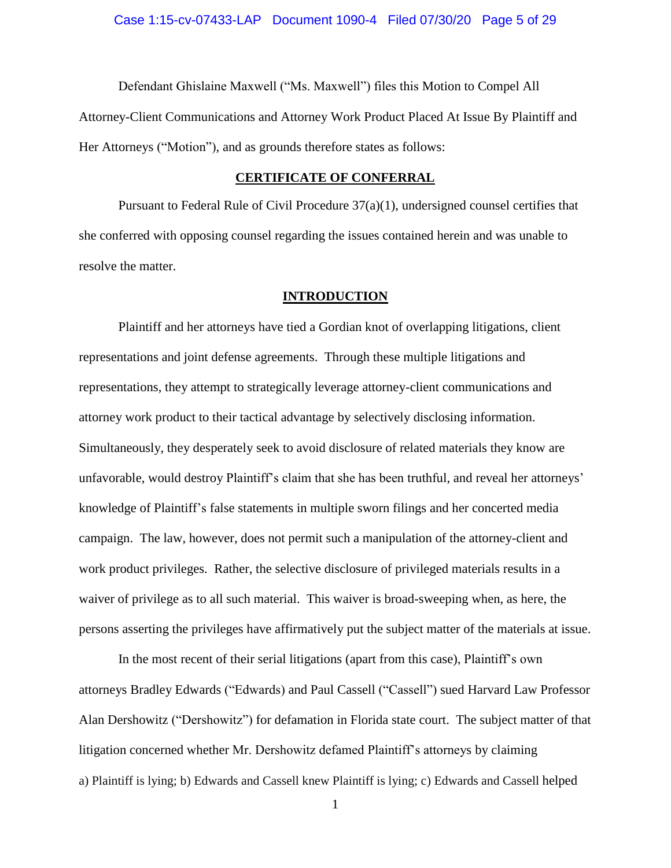Defendant Ghislaine Maxwell ("Ms. Maxwell") files this Motion to Compel All Attorney-Client Communications and Attorney Work Product Placed At Issue By Plaintiff and Her Attorneys ("Motion"), and as grounds therefore states as follows:

#### **CERTIFICATE OF CONFERRAL**

<span id="page-4-0"></span>Pursuant to Federal Rule of Civil Procedure  $37(a)(1)$ , undersigned counsel certifies that she conferred with opposing counsel regarding the issues contained herein and was unable to resolve the matter.

### **INTRODUCTION**

<span id="page-4-1"></span>Plaintiff and her attorneys have tied a Gordian knot of overlapping litigations, client representations and joint defense agreements. Through these multiple litigations and representations, they attempt to strategically leverage attorney-client communications and attorney work product to their tactical advantage by selectively disclosing information. Simultaneously, they desperately seek to avoid disclosure of related materials they know are unfavorable, would destroy Plaintiff's claim that she has been truthful, and reveal her attorneys' knowledge of Plaintiff's false statements in multiple sworn filings and her concerted media campaign. The law, however, does not permit such a manipulation of the attorney-client and work product privileges. Rather, the selective disclosure of privileged materials results in a waiver of privilege as to all such material. This waiver is broad-sweeping when, as here, the persons asserting the privileges have affirmatively put the subject matter of the materials at issue.

In the most recent of their serial litigations (apart from this case), Plaintiff's own attorneys Bradley Edwards ("Edwards) and Paul Cassell ("Cassell") sued Harvard Law Professor Alan Dershowitz ("Dershowitz") for defamation in Florida state court. The subject matter of that litigation concerned whether Mr. Dershowitz defamed Plaintiff's attorneys by claiming a) Plaintiff is lying; b) Edwards and Cassell knew Plaintiff is lying; c) Edwards and Cassell helped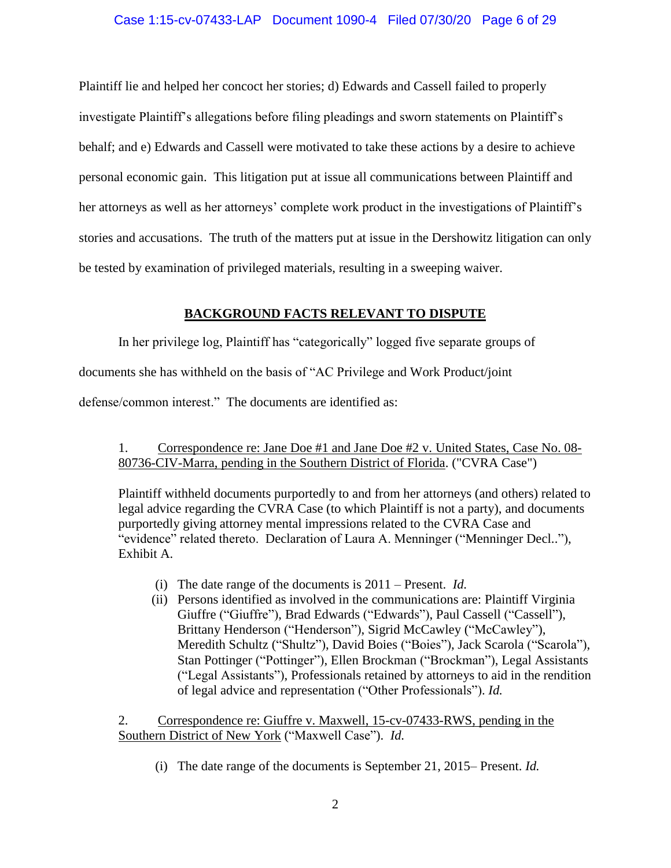### Case 1:15-cv-07433-LAP Document 1090-4 Filed 07/30/20 Page 6 of 29

Plaintiff lie and helped her concoct her stories; d) Edwards and Cassell failed to properly investigate Plaintiff's allegations before filing pleadings and sworn statements on Plaintiff's behalf; and e) Edwards and Cassell were motivated to take these actions by a desire to achieve personal economic gain. This litigation put at issue all communications between Plaintiff and her attorneys as well as her attorneys' complete work product in the investigations of Plaintiff's stories and accusations. The truth of the matters put at issue in the Dershowitz litigation can only be tested by examination of privileged materials, resulting in a sweeping waiver.

# **BACKGROUND FACTS RELEVANT TO DISPUTE**

<span id="page-5-0"></span>In her privilege log, Plaintiff has "categorically" logged five separate groups of

documents she has withheld on the basis of "AC Privilege and Work Product/joint

defense/common interest." The documents are identified as:

<span id="page-5-1"></span>1. Correspondence re: Jane Doe #1 and Jane Doe #2 v. United States, Case No. 08- 80736-CIV-Marra, pending in the Southern District of Florida. ("CVRA Case")

Plaintiff withheld documents purportedly to and from her attorneys (and others) related to legal advice regarding the CVRA Case (to which Plaintiff is not a party), and documents purportedly giving attorney mental impressions related to the CVRA Case and "evidence" related thereto. Declaration of Laura A. Menninger ("Menninger Decl.."), Exhibit A.

- (i) The date range of the documents is 2011 Present. *Id.*
- (ii) Persons identified as involved in the communications are: Plaintiff Virginia Giuffre ("Giuffre"), Brad Edwards ("Edwards"), Paul Cassell ("Cassell"), Brittany Henderson ("Henderson"), Sigrid McCawley ("McCawley"), Meredith Schultz ("Shultz"), David Boies ("Boies"), Jack Scarola ("Scarola"), Stan Pottinger ("Pottinger"), Ellen Brockman ("Brockman"), Legal Assistants ("Legal Assistants"), Professionals retained by attorneys to aid in the rendition of legal advice and representation ("Other Professionals"). *Id.*

<span id="page-5-2"></span>2. Correspondence re: Giuffre v. Maxwell, 15-cv-07433-RWS, pending in the Southern District of New York ("Maxwell Case"). *Id.*

(i) The date range of the documents is September 21, 2015– Present. *Id.*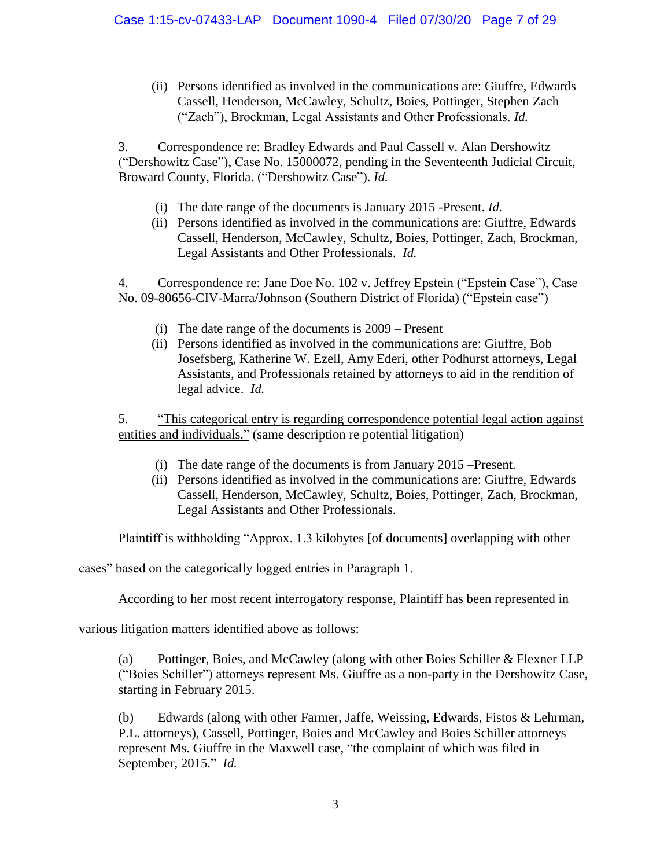(ii) Persons identified as involved in the communications are: Giuffre, Edwards Cassell, Henderson, McCawley, Schultz, Boies, Pottinger, Stephen Zach ("Zach"), Brockman, Legal Assistants and Other Professionals. *Id.*

<span id="page-6-0"></span>3. Correspondence re: Bradley Edwards and Paul Cassell v. Alan Dershowitz ("Dershowitz Case"), Case No. 15000072, pending in the Seventeenth Judicial Circuit, Broward County, Florida. ("Dershowitz Case"). *Id.*

- (i) The date range of the documents is January 2015 -Present. *Id.*
- (ii) Persons identified as involved in the communications are: Giuffre, Edwards Cassell, Henderson, McCawley, Schultz, Boies, Pottinger, Zach, Brockman, Legal Assistants and Other Professionals. *Id.*

<span id="page-6-1"></span>4. Correspondence re: Jane Doe No. 102 v. Jeffrey Epstein ("Epstein Case"), Case No. 09-80656-CIV-Marra/Johnson (Southern District of Florida) ("Epstein case")

- (i) The date range of the documents is 2009 Present
- (ii) Persons identified as involved in the communications are: Giuffre, Bob Josefsberg, Katherine W. Ezell, Amy Ederi, other Podhurst attorneys, Legal Assistants, and Professionals retained by attorneys to aid in the rendition of legal advice. *Id.*

<span id="page-6-2"></span>5. "This categorical entry is regarding correspondence potential legal action against entities and individuals." (same description re potential litigation)

- (i) The date range of the documents is from January 2015 –Present.
- (ii) Persons identified as involved in the communications are: Giuffre, Edwards Cassell, Henderson, McCawley, Schultz, Boies, Pottinger, Zach, Brockman, Legal Assistants and Other Professionals.

Plaintiff is withholding "Approx. 1.3 kilobytes [of documents] overlapping with other

cases" based on the categorically logged entries in Paragraph 1.

According to her most recent interrogatory response, Plaintiff has been represented in

various litigation matters identified above as follows:

(a) Pottinger, Boies, and McCawley (along with other Boies Schiller & Flexner LLP ("Boies Schiller") attorneys represent Ms. Giuffre as a non-party in the Dershowitz Case, starting in February 2015.

(b) Edwards (along with other Farmer, Jaffe, Weissing, Edwards, Fistos & Lehrman, P.L. attorneys), Cassell, Pottinger, Boies and McCawley and Boies Schiller attorneys represent Ms. Giuffre in the Maxwell case, "the complaint of which was filed in September, 2015." *Id.*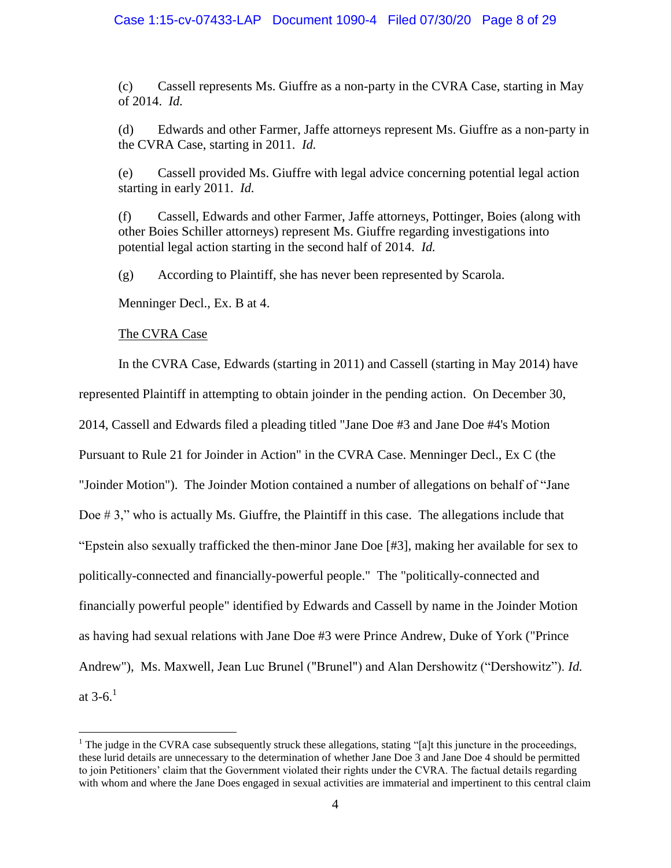### Case 1:15-cv-07433-LAP Document 1090-4 Filed 07/30/20 Page 8 of 29

(c) Cassell represents Ms. Giuffre as a non-party in the CVRA Case, starting in May of 2014. *Id.*

<span id="page-7-0"></span>(d) Edwards and other Farmer, Jaffe attorneys represent Ms. Giuffre as a non-party in the CVRA Case, starting in 2011. *Id.*

(e) Cassell provided Ms. Giuffre with legal advice concerning potential legal action starting in early 2011. *Id.*

(f) Cassell, Edwards and other Farmer, Jaffe attorneys, Pottinger, Boies (along with other Boies Schiller attorneys) represent Ms. Giuffre regarding investigations into potential legal action starting in the second half of 2014. *Id.*

(g) According to Plaintiff, she has never been represented by Scarola.

Menninger Decl., Ex. B at 4.

### The CVRA Case

 $\overline{a}$ 

In the CVRA Case, Edwards (starting in 2011) and Cassell (starting in May 2014) have represented Plaintiff in attempting to obtain joinder in the pending action. On December 30, 2014, Cassell and Edwards filed a pleading titled "Jane Doe #3 and Jane Doe #4's Motion Pursuant to Rule 21 for Joinder in Action" in the CVRA Case. Menninger Decl., Ex C (the "Joinder Motion"). The Joinder Motion contained a number of allegations on behalf of "Jane Doe # 3," who is actually Ms. Giuffre, the Plaintiff in this case. The allegations include that "Epstein also sexually trafficked the then-minor Jane Doe [#3], making her available for sex to politically-connected and financially-powerful people." The "politically-connected and financially powerful people" identified by Edwards and Cassell by name in the Joinder Motion as having had sexual relations with Jane Doe #3 were Prince Andrew, Duke of York ("Prince Andrew"), Ms. Maxwell, Jean Luc Brunel ("Brunel") and Alan Dershowitz ("Dershowitz"). *Id.* at  $3-6.1$ 

<sup>&</sup>lt;sup>1</sup> The judge in the CVRA case subsequently struck these allegations, stating "[a]t this juncture in the proceedings, these lurid details are unnecessary to the determination of whether Jane Doe 3 and Jane Doe 4 should be permitted to join Petitioners' claim that the Government violated their rights under the CVRA. The factual details regarding with whom and where the Jane Does engaged in sexual activities are immaterial and impertinent to this central claim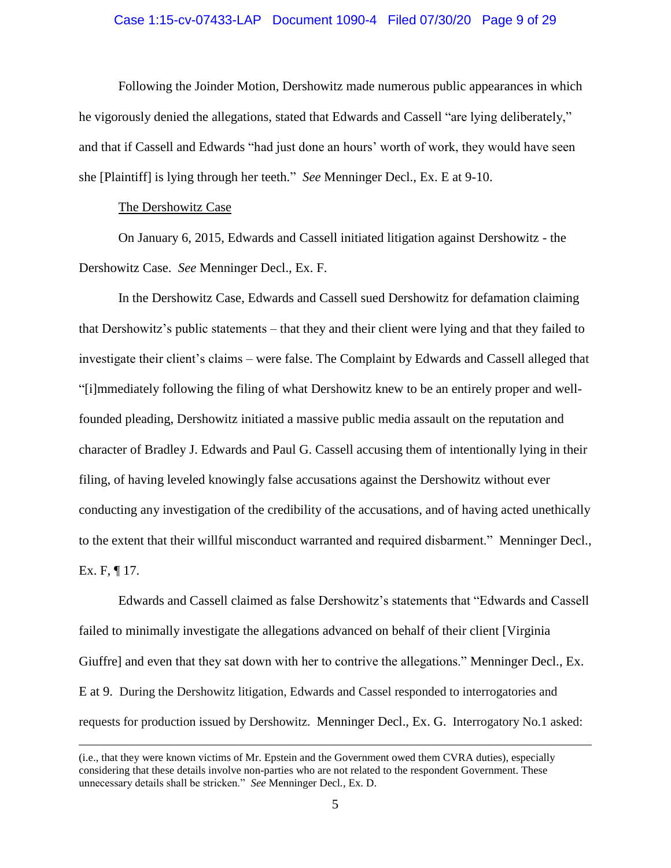### Case 1:15-cv-07433-LAP Document 1090-4 Filed 07/30/20 Page 9 of 29

Following the Joinder Motion, Dershowitz made numerous public appearances in which he vigorously denied the allegations, stated that Edwards and Cassell "are lying deliberately," and that if Cassell and Edwards "had just done an hours' worth of work, they would have seen she [Plaintiff] is lying through her teeth." *See* Menninger Decl., Ex. E at 9-10.

#### The Dershowitz Case

 $\overline{a}$ 

On January 6, 2015, Edwards and Cassell initiated litigation against Dershowitz - the Dershowitz Case. *See* Menninger Decl., Ex. F.

In the Dershowitz Case, Edwards and Cassell sued Dershowitz for defamation claiming that Dershowitz's public statements – that they and their client were lying and that they failed to investigate their client's claims – were false. The Complaint by Edwards and Cassell alleged that "[i]mmediately following the filing of what Dershowitz knew to be an entirely proper and wellfounded pleading, Dershowitz initiated a massive public media assault on the reputation and character of Bradley J. Edwards and Paul G. Cassell accusing them of intentionally lying in their filing, of having leveled knowingly false accusations against the Dershowitz without ever conducting any investigation of the credibility of the accusations, and of having acted unethically to the extent that their willful misconduct warranted and required disbarment." Menninger Decl., Ex. F, ¶ 17.

Edwards and Cassell claimed as false Dershowitz's statements that "Edwards and Cassell failed to minimally investigate the allegations advanced on behalf of their client [Virginia Giuffre] and even that they sat down with her to contrive the allegations." Menninger Decl., Ex. E at 9. During the Dershowitz litigation, Edwards and Cassel responded to interrogatories and requests for production issued by Dershowitz. Menninger Decl., Ex. G. Interrogatory No.1 asked:

<sup>(</sup>i.e., that they were known victims of Mr. Epstein and the Government owed them CVRA duties), especially considering that these details involve non-parties who are not related to the respondent Government. These unnecessary details shall be stricken." *See* Menninger Decl*.*, Ex. D.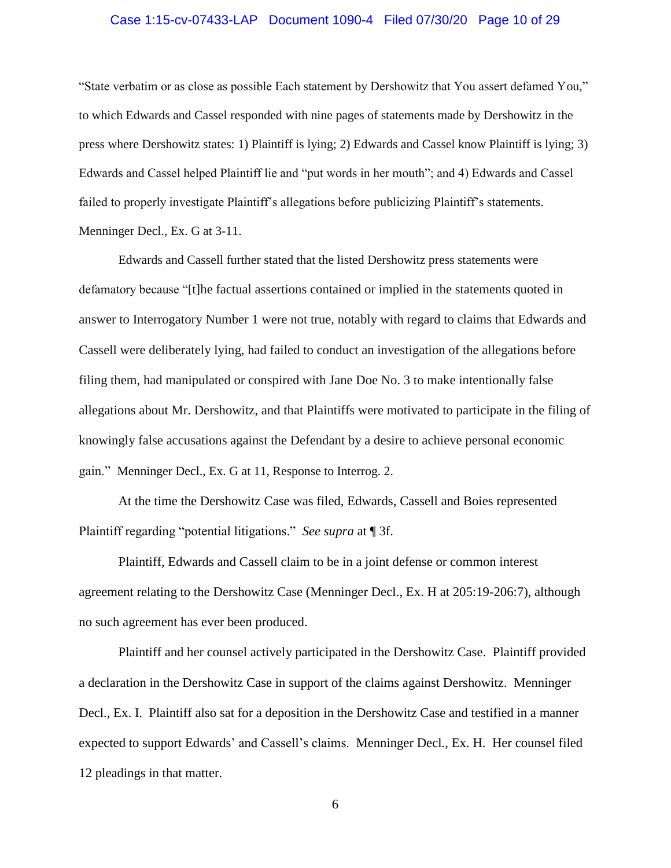### Case 1:15-cv-07433-LAP Document 1090-4 Filed 07/30/20 Page 10 of 29

"State verbatim or as close as possible Each statement by Dershowitz that You assert defamed You," to which Edwards and Cassel responded with nine pages of statements made by Dershowitz in the press where Dershowitz states: 1) Plaintiff is lying; 2) Edwards and Cassel know Plaintiff is lying; 3) Edwards and Cassel helped Plaintiff lie and "put words in her mouth"; and 4) Edwards and Cassel failed to properly investigate Plaintiff's allegations before publicizing Plaintiff's statements. Menninger Decl., Ex. G at 3-11.

Edwards and Cassell further stated that the listed Dershowitz press statements were defamatory because "[t]he factual assertions contained or implied in the statements quoted in answer to Interrogatory Number 1 were not true, notably with regard to claims that Edwards and Cassell were deliberately lying, had failed to conduct an investigation of the allegations before filing them, had manipulated or conspired with Jane Doe No. 3 to make intentionally false allegations about Mr. Dershowitz, and that Plaintiffs were motivated to participate in the filing of knowingly false accusations against the Defendant by a desire to achieve personal economic gain." Menninger Decl., Ex. G at 11, Response to Interrog. 2.

At the time the Dershowitz Case was filed, Edwards, Cassell and Boies represented Plaintiff regarding "potential litigations." *See supra* at ¶ 3f.

Plaintiff, Edwards and Cassell claim to be in a joint defense or common interest agreement relating to the Dershowitz Case (Menninger Decl., Ex. H at 205:19-206:7), although no such agreement has ever been produced.

Plaintiff and her counsel actively participated in the Dershowitz Case. Plaintiff provided a declaration in the Dershowitz Case in support of the claims against Dershowitz. Menninger Decl., Ex. I. Plaintiff also sat for a deposition in the Dershowitz Case and testified in a manner expected to support Edwards' and Cassell's claims. Menninger Decl*.*, Ex. H. Her counsel filed 12 pleadings in that matter.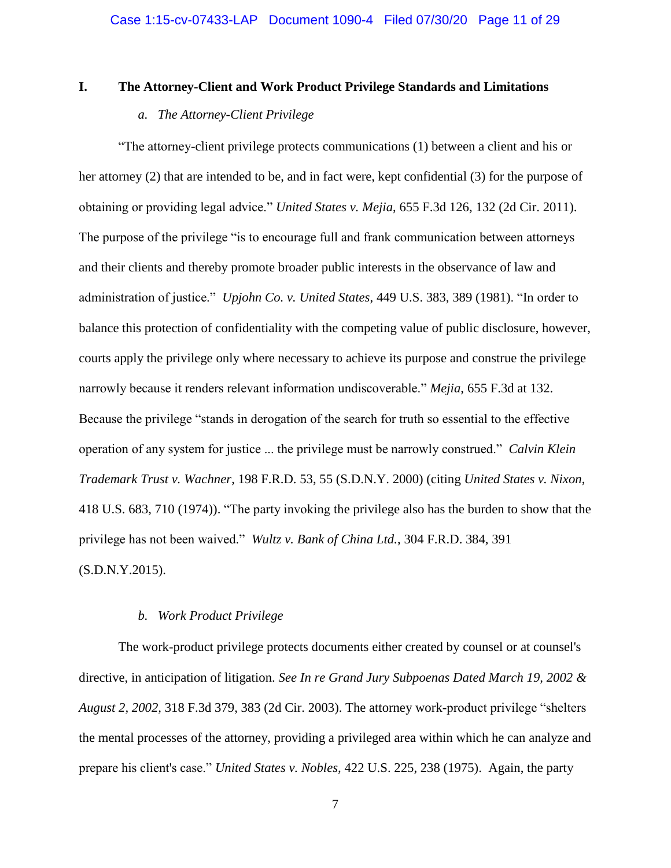### <span id="page-10-1"></span><span id="page-10-0"></span>**I. The Attorney-Client and Work Product Privilege Standards and Limitations**

### *a. The Attorney-Client Privilege*

"The attorney-client privilege protects communications (1) between a client and his or her attorney (2) that are intended to be, and in fact were, kept confidential (3) for the purpose of obtaining or providing legal advice." *United States v. Mejia*, 655 F.3d 126, 132 (2d Cir. 2011). The purpose of the privilege "is to encourage full and frank communication between attorneys and their clients and thereby promote broader public interests in the observance of law and administration of justice." *Upjohn Co. v. United States*, 449 U.S. 383, 389 (1981). "In order to balance this protection of confidentiality with the competing value of public disclosure, however, courts apply the privilege only where necessary to achieve its purpose and construe the privilege narrowly because it renders relevant information undiscoverable." *Mejia*, 655 F.3d at 132. Because the privilege "stands in derogation of the search for truth so essential to the effective operation of any system for justice ... the privilege must be narrowly construed." *Calvin Klein Trademark Trust v. Wachner*, 198 F.R.D. 53, 55 (S.D.N.Y. 2000) (citing *United States v. Nixon*, 418 U.S. 683, 710 (1974)). "The party invoking the privilege also has the burden to show that the privilege has not been waived." *Wultz v. Bank of China Ltd.*, 304 F.R.D. 384, 391 (S.D.N.Y.2015).

# *b. Work Product Privilege*

<span id="page-10-2"></span>The work-product privilege protects documents either created by counsel or at counsel's directive, in anticipation of litigation. *See In re Grand Jury Subpoenas Dated March 19, 2002 & August 2, 2002,* 318 F.3d 379, 383 (2d Cir. 2003). The attorney work-product privilege "shelters the mental processes of the attorney, providing a privileged area within which he can analyze and prepare his client's case." *United States v. Nobles,* 422 U.S. 225, 238 (1975). Again, the party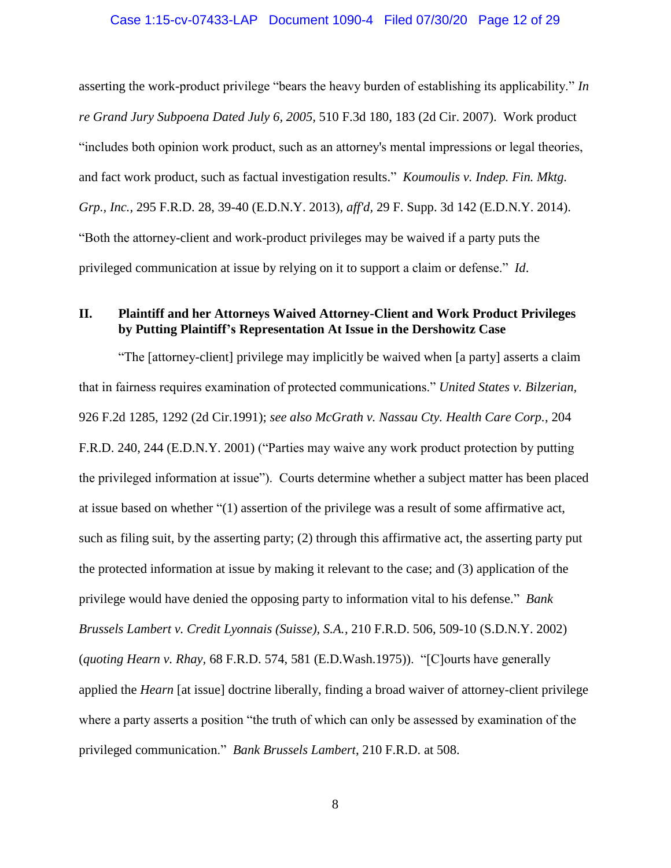### Case 1:15-cv-07433-LAP Document 1090-4 Filed 07/30/20 Page 12 of 29

asserting the work-product privilege "bears the heavy burden of establishing its applicability." *In re Grand Jury Subpoena Dated July 6, 2005,* 510 F.3d 180, 183 (2d Cir. 2007). Work product "includes both opinion work product, such as an attorney's mental impressions or legal theories, and fact work product, such as factual investigation results." *Koumoulis v. Indep. Fin. Mktg. Grp., Inc.*, 295 F.R.D. 28, 39-40 (E.D.N.Y. 2013), *aff'd,* 29 F. Supp. 3d 142 (E.D.N.Y. 2014). "Both the attorney-client and work-product privileges may be waived if a party puts the privileged communication at issue by relying on it to support a claim or defense." *Id*.

# <span id="page-11-0"></span>**II. Plaintiff and her Attorneys Waived Attorney-Client and Work Product Privileges by Putting Plaintiff's Representation At Issue in the Dershowitz Case**

"The [attorney-client] privilege may implicitly be waived when [a party] asserts a claim that in fairness requires examination of protected communications." *United States v. Bilzerian,* 926 F.2d 1285, 1292 (2d Cir.1991); *see also McGrath v. Nassau Cty. Health Care Corp.*, 204 F.R.D. 240, 244 (E.D.N.Y. 2001) ("Parties may waive any work product protection by putting the privileged information at issue"). Courts determine whether a subject matter has been placed at issue based on whether "(1) assertion of the privilege was a result of some affirmative act, such as filing suit, by the asserting party; (2) through this affirmative act, the asserting party put the protected information at issue by making it relevant to the case; and (3) application of the privilege would have denied the opposing party to information vital to his defense." *Bank Brussels Lambert v. Credit Lyonnais (Suisse), S.A.*, 210 F.R.D. 506, 509-10 (S.D.N.Y. 2002) (*quoting Hearn v. Rhay,* 68 F.R.D. 574, 581 (E.D.Wash.1975)). "[C]ourts have generally applied the *Hearn* [at issue] doctrine liberally, finding a broad waiver of attorney-client privilege where a party asserts a position "the truth of which can only be assessed by examination of the privileged communication." *Bank Brussels Lambert*, 210 F.R.D. at 508.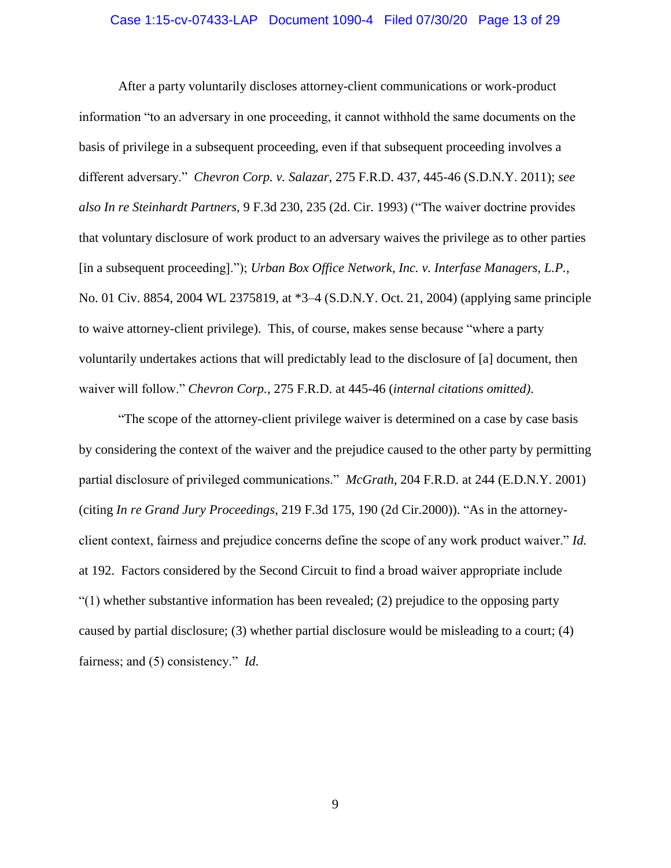### Case 1:15-cv-07433-LAP Document 1090-4 Filed 07/30/20 Page 13 of 29

After a party voluntarily discloses attorney-client communications or work-product information "to an adversary in one proceeding, it cannot withhold the same documents on the basis of privilege in a subsequent proceeding, even if that subsequent proceeding involves a different adversary." *Chevron Corp. v. Salazar*, 275 F.R.D. 437, 445-46 (S.D.N.Y. 2011); *see also In re Steinhardt Partners,* 9 F.3d 230, 235 (2d. Cir. 1993) ("The waiver doctrine provides that voluntary disclosure of work product to an adversary waives the privilege as to other parties [in a subsequent proceeding]."); *Urban Box Office Network, Inc. v. Interfase Managers, L.P.,* No. 01 Civ. 8854, 2004 WL 2375819, at \*3–4 (S.D.N.Y. Oct. 21, 2004) (applying same principle to waive attorney-client privilege). This, of course, makes sense because "where a party voluntarily undertakes actions that will predictably lead to the disclosure of [a] document, then waiver will follow." *Chevron Corp.*, 275 F.R.D. at 445-46 (*internal citations omitted)*.

"The scope of the attorney-client privilege waiver is determined on a case by case basis by considering the context of the waiver and the prejudice caused to the other party by permitting partial disclosure of privileged communications." *McGrath*, 204 F.R.D. at 244 (E.D.N.Y. 2001) (citing *In re Grand Jury Proceedings*[, 219 F.3d 175, 190 \(2d Cir.2000\)\)](http://www.westlaw.com/Link/Document/FullText?findType=Y&serNum=2000448741&pubNum=506&originatingDoc=I5152e91053e311d9b17ee4cdc604a702&refType=RP&fi=co_pp_sp_506_190&originationContext=document&vr=3.0&rs=cblt1.0&transitionType=DocumentItem&contextData=(sc.Search)#co_pp_sp_506_190). "As in the attorneyclient context, fairness and prejudice concerns define the scope of any work product waiver." *Id.* at 192. Factors considered by the Second Circuit to find a broad waiver appropriate include "(1) whether substantive information has been revealed; (2) prejudice to the opposing party caused by partial disclosure; (3) whether partial disclosure would be misleading to a court; (4) fairness; and (5) consistency." *Id*.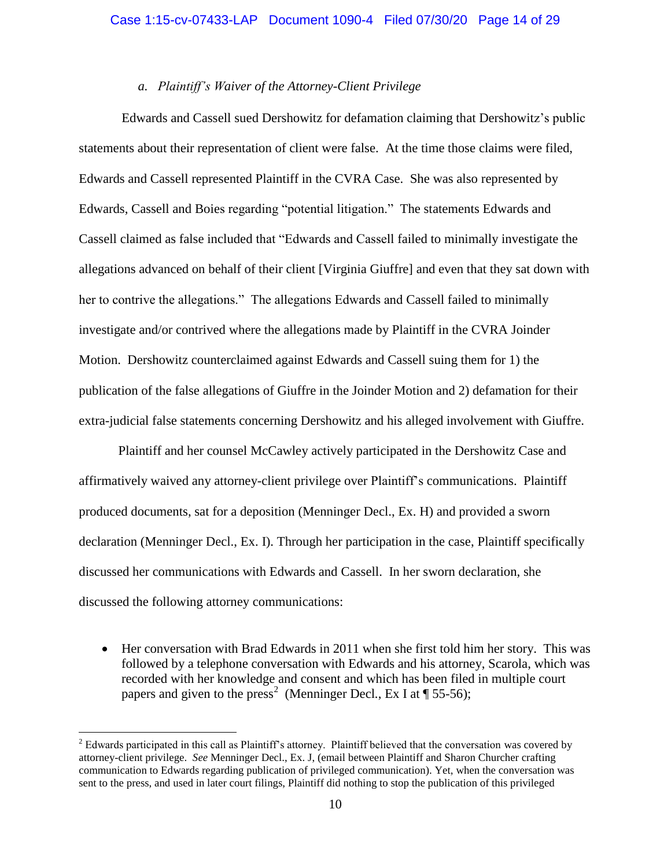### *a. Plaintiff's Waiver of the Attorney-Client Privilege*

<span id="page-13-0"></span>Edwards and Cassell sued Dershowitz for defamation claiming that Dershowitz's public statements about their representation of client were false. At the time those claims were filed, Edwards and Cassell represented Plaintiff in the CVRA Case. She was also represented by Edwards, Cassell and Boies regarding "potential litigation." The statements Edwards and Cassell claimed as false included that "Edwards and Cassell failed to minimally investigate the allegations advanced on behalf of their client [Virginia Giuffre] and even that they sat down with her to contrive the allegations." The allegations Edwards and Cassell failed to minimally investigate and/or contrived where the allegations made by Plaintiff in the CVRA Joinder Motion. Dershowitz counterclaimed against Edwards and Cassell suing them for 1) the publication of the false allegations of Giuffre in the Joinder Motion and 2) defamation for their extra-judicial false statements concerning Dershowitz and his alleged involvement with Giuffre.

Plaintiff and her counsel McCawley actively participated in the Dershowitz Case and affirmatively waived any attorney-client privilege over Plaintiff's communications. Plaintiff produced documents, sat for a deposition (Menninger Decl., Ex. H) and provided a sworn declaration (Menninger Decl., Ex. I). Through her participation in the case, Plaintiff specifically discussed her communications with Edwards and Cassell. In her sworn declaration, she discussed the following attorney communications:

• Her conversation with Brad Edwards in 2011 when she first told him her story. This was followed by a telephone conversation with Edwards and his attorney, Scarola, which was recorded with her knowledge and consent and which has been filed in multiple court papers and given to the press<sup>2</sup> (Menninger Decl., Ex I at  $\P$  55-56);

 $\overline{a}$ 

<sup>&</sup>lt;sup>2</sup> Edwards participated in this call as Plaintiff's attorney. Plaintiff believed that the conversation was covered by attorney-client privilege. *See* Menninger Decl., Ex. J, (email between Plaintiff and Sharon Churcher crafting communication to Edwards regarding publication of privileged communication). Yet, when the conversation was sent to the press, and used in later court filings, Plaintiff did nothing to stop the publication of this privileged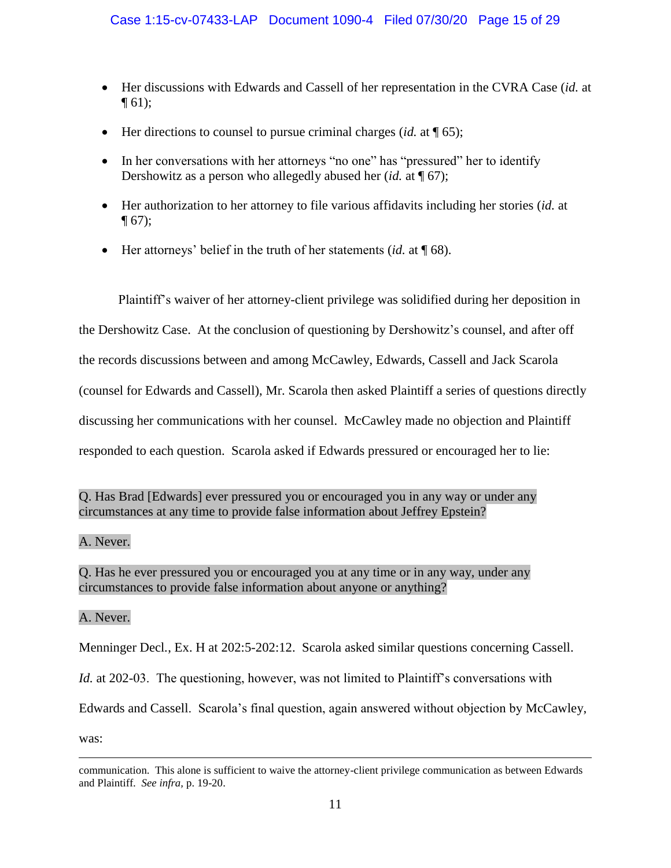- Her discussions with Edwards and Cassell of her representation in the CVRA Case (*id.* at  $\P(61);$
- Her directions to counsel to pursue criminal charges (*id.* at  $\P$  65);
- In her conversations with her attorneys "no one" has "pressured" her to identify Dershowitz as a person who allegedly abused her (*id.* at ¶ 67);
- Her authorization to her attorney to file various affidavits including her stories (*id.* at  $\P(67)$ ;
- Her attorneys' belief in the truth of her statements (*id.* at ¶ 68).

Plaintiff's waiver of her attorney-client privilege was solidified during her deposition in the Dershowitz Case. At the conclusion of questioning by Dershowitz's counsel, and after off the records discussions between and among McCawley, Edwards, Cassell and Jack Scarola (counsel for Edwards and Cassell), Mr. Scarola then asked Plaintiff a series of questions directly discussing her communications with her counsel. McCawley made no objection and Plaintiff responded to each question. Scarola asked if Edwards pressured or encouraged her to lie:

Q. Has Brad [Edwards] ever pressured you or encouraged you in any way or under any circumstances at any time to provide false information about Jeffrey Epstein?

# A. Never.

Q. Has he ever pressured you or encouraged you at any time or in any way, under any circumstances to provide false information about anyone or anything?

# A. Never.

Menninger Decl*.*, Ex. H at 202:5-202:12. Scarola asked similar questions concerning Cassell.

*Id.* at 202-03. The questioning, however, was not limited to Plaintiff's conversations with

Edwards and Cassell. Scarola's final question, again answered without objection by McCawley,

was:

 $\overline{a}$ 

communication. This alone is sufficient to waive the attorney-client privilege communication as between Edwards and Plaintiff. *See infra,* p. 19-20.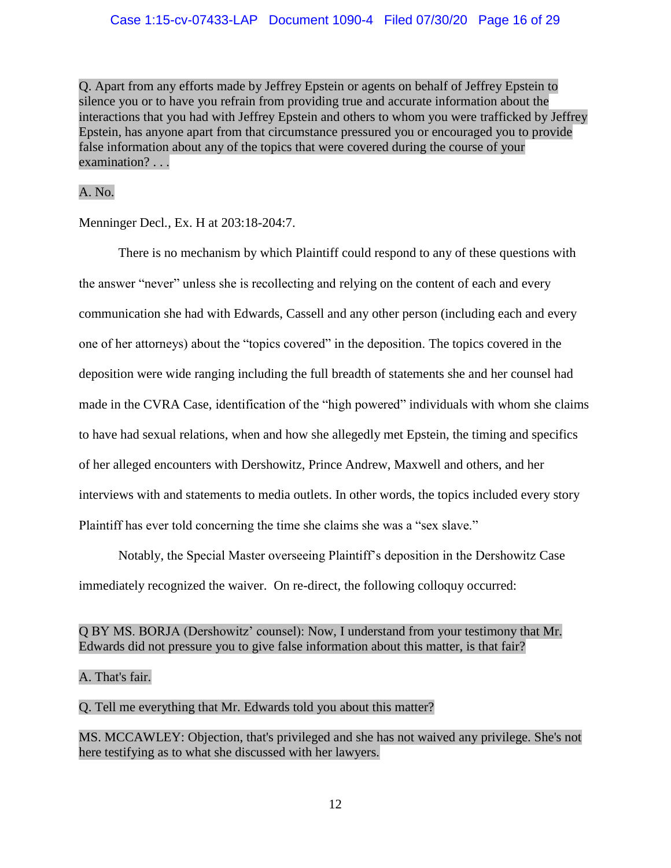Q. Apart from any efforts made by Jeffrey Epstein or agents on behalf of Jeffrey Epstein to silence you or to have you refrain from providing true and accurate information about the interactions that you had with Jeffrey Epstein and others to whom you were trafficked by Jeffrey Epstein, has anyone apart from that circumstance pressured you or encouraged you to provide false information about any of the topics that were covered during the course of your examination? . . .

# A. No.

Menninger Decl*.*, Ex. H at 203:18-204:7.

There is no mechanism by which Plaintiff could respond to any of these questions with the answer "never" unless she is recollecting and relying on the content of each and every communication she had with Edwards, Cassell and any other person (including each and every one of her attorneys) about the "topics covered" in the deposition. The topics covered in the deposition were wide ranging including the full breadth of statements she and her counsel had made in the CVRA Case, identification of the "high powered" individuals with whom she claims to have had sexual relations, when and how she allegedly met Epstein, the timing and specifics of her alleged encounters with Dershowitz, Prince Andrew, Maxwell and others, and her interviews with and statements to media outlets. In other words, the topics included every story Plaintiff has ever told concerning the time she claims she was a "sex slave."

Notably, the Special Master overseeing Plaintiff's deposition in the Dershowitz Case immediately recognized the waiver. On re-direct, the following colloquy occurred:

# Q BY MS. BORJA (Dershowitz' counsel): Now, I understand from your testimony that Mr. Edwards did not pressure you to give false information about this matter, is that fair?

# A. That's fair.

# Q. Tell me everything that Mr. Edwards told you about this matter?

MS. MCCAWLEY: Objection, that's privileged and she has not waived any privilege. She's not here testifying as to what she discussed with her lawyers.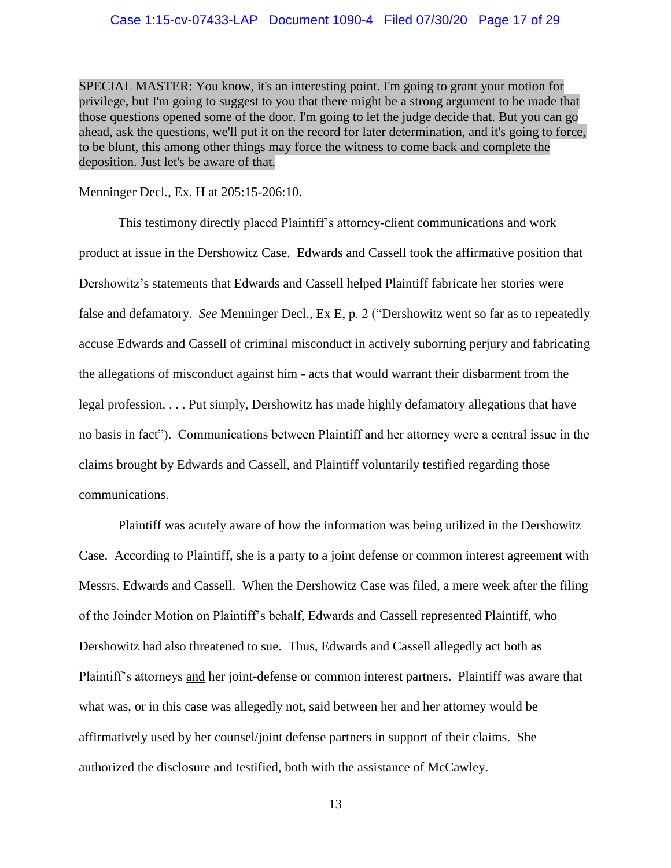SPECIAL MASTER: You know, it's an interesting point. I'm going to grant your motion for privilege, but I'm going to suggest to you that there might be a strong argument to be made that those questions opened some of the door. I'm going to let the judge decide that. But you can go ahead, ask the questions, we'll put it on the record for later determination, and it's going to force, to be blunt, this among other things may force the witness to come back and complete the deposition. Just let's be aware of that.

Menninger Decl*.*, Ex. H at 205:15-206:10.

This testimony directly placed Plaintiff's attorney-client communications and work product at issue in the Dershowitz Case. Edwards and Cassell took the affirmative position that Dershowitz's statements that Edwards and Cassell helped Plaintiff fabricate her stories were false and defamatory. *See* Menninger Decl*.*, Ex E, p. 2 ("Dershowitz went so far as to repeatedly accuse Edwards and Cassell of criminal misconduct in actively suborning perjury and fabricating the allegations of misconduct against him - acts that would warrant their disbarment from the legal profession. . . . Put simply, Dershowitz has made highly defamatory allegations that have no basis in fact"). Communications between Plaintiff and her attorney were a central issue in the claims brought by Edwards and Cassell, and Plaintiff voluntarily testified regarding those communications.

Plaintiff was acutely aware of how the information was being utilized in the Dershowitz Case. According to Plaintiff, she is a party to a joint defense or common interest agreement with Messrs. Edwards and Cassell. When the Dershowitz Case was filed, a mere week after the filing of the Joinder Motion on Plaintiff's behalf, Edwards and Cassell represented Plaintiff, who Dershowitz had also threatened to sue. Thus, Edwards and Cassell allegedly act both as Plaintiff's attorneys and her joint-defense or common interest partners. Plaintiff was aware that what was, or in this case was allegedly not, said between her and her attorney would be affirmatively used by her counsel/joint defense partners in support of their claims. She authorized the disclosure and testified, both with the assistance of McCawley.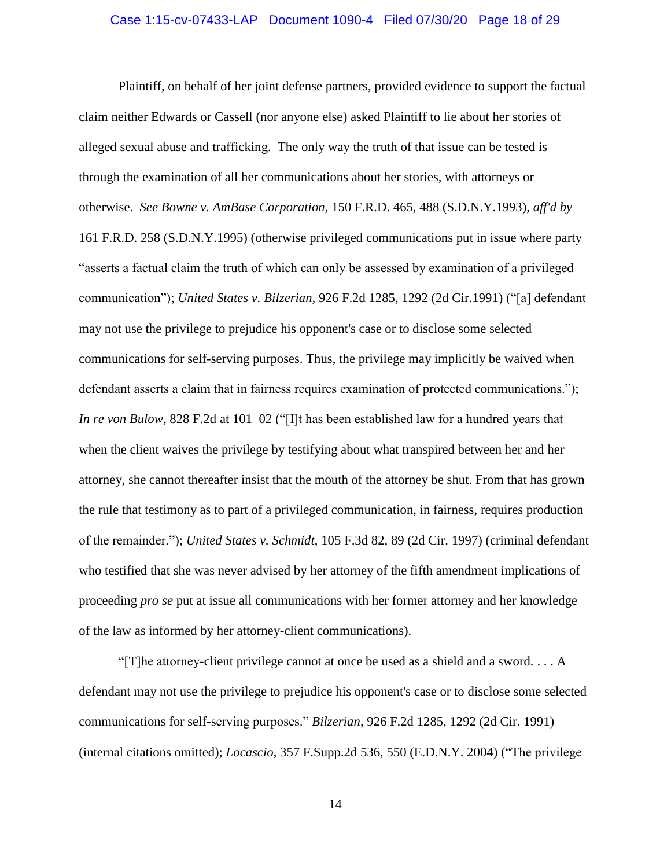#### Case 1:15-cv-07433-LAP Document 1090-4 Filed 07/30/20 Page 18 of 29

Plaintiff, on behalf of her joint defense partners, provided evidence to support the factual claim neither Edwards or Cassell (nor anyone else) asked Plaintiff to lie about her stories of alleged sexual abuse and trafficking. The only way the truth of that issue can be tested is through the examination of all her communications about her stories, with attorneys or otherwise. *See Bowne v. AmBase Corporation,* 150 F.R.D. 465, 488 (S.D.N.Y.1993), *aff'd by* 161 F.R.D. 258 (S.D.N.Y.1995) (otherwise privileged communications put in issue where party "asserts a factual claim the truth of which can only be assessed by examination of a privileged communication"); *United States v. Bilzerian,* 926 F.2d 1285, 1292 (2d Cir.1991) ("[a] defendant may not use the privilege to prejudice his opponent's case or to disclose some selected communications for self-serving purposes. Thus, the privilege may implicitly be waived when defendant asserts a claim that in fairness requires examination of protected communications."); *In re von Bulow,* 828 F.2d at 101–02 ("[I]t has been established law for a hundred years that when the client waives the privilege by testifying about what transpired between her and her attorney, she cannot thereafter insist that the mouth of the attorney be shut. From that has grown the rule that testimony as to part of a privileged communication, in fairness, requires production of the remainder."); *United States v. Schmidt*, 105 F.3d 82, 89 (2d Cir. 1997) (criminal defendant who testified that she was never advised by her attorney of the fifth amendment implications of proceeding *pro se* put at issue all communications with her former attorney and her knowledge of the law as informed by her attorney-client communications).

"[T]he attorney-client privilege cannot at once be used as a shield and a sword. . . . A defendant may not use the privilege to prejudice his opponent's case or to disclose some selected communications for self-serving purposes." *Bilzerian*, 926 F.2d 1285, 1292 (2d Cir. 1991) (internal citations omitted); *Locascio*, 357 F.Supp.2d 536, 550 (E.D.N.Y. 2004) ("The privilege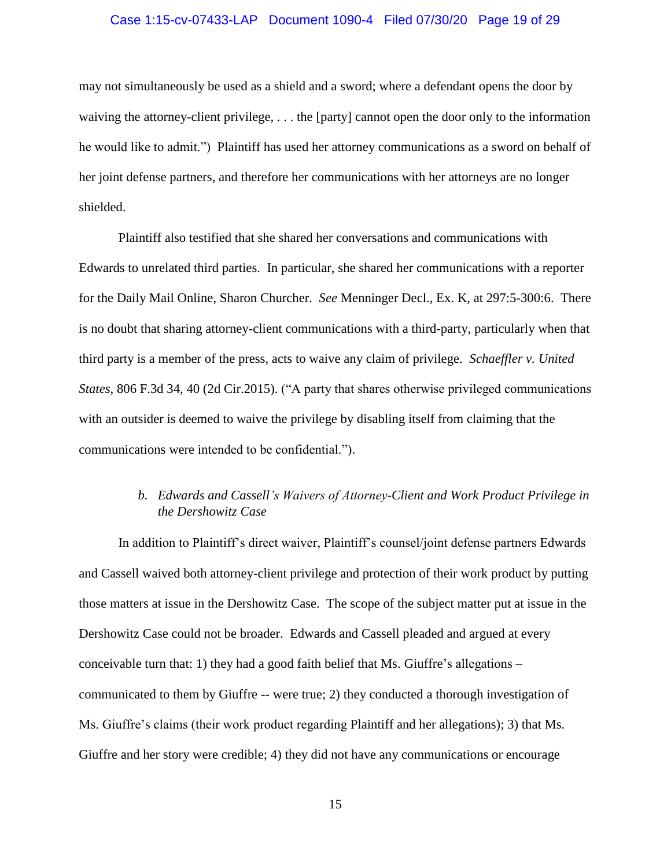### Case 1:15-cv-07433-LAP Document 1090-4 Filed 07/30/20 Page 19 of 29

may not simultaneously be used as a shield and a sword; where a defendant opens the door by waiving the attorney-client privilege, . . . the [party] cannot open the door only to the information he would like to admit.") Plaintiff has used her attorney communications as a sword on behalf of her joint defense partners, and therefore her communications with her attorneys are no longer shielded.

Plaintiff also testified that she shared her conversations and communications with Edwards to unrelated third parties. In particular, she shared her communications with a reporter for the Daily Mail Online, Sharon Churcher. *See* Menninger Decl., Ex. K, at 297:5-300:6. There is no doubt that sharing attorney-client communications with a third-party, particularly when that third party is a member of the press, acts to waive any claim of privilege. *Schaeffler v. United States*, 806 F.3d 34, 40 (2d Cir.2015). ("A party that shares otherwise privileged communications with an outsider is deemed to waive the privilege by disabling itself from claiming that the communications were intended to be confidential.").

# *b. Edwards and Cassell's Waivers of Attorney-Client and Work Product Privilege in the Dershowitz Case*

<span id="page-18-0"></span>In addition to Plaintiff's direct waiver, Plaintiff's counsel/joint defense partners Edwards and Cassell waived both attorney-client privilege and protection of their work product by putting those matters at issue in the Dershowitz Case. The scope of the subject matter put at issue in the Dershowitz Case could not be broader. Edwards and Cassell pleaded and argued at every conceivable turn that: 1) they had a good faith belief that Ms. Giuffre's allegations – communicated to them by Giuffre -- were true; 2) they conducted a thorough investigation of Ms. Giuffre's claims (their work product regarding Plaintiff and her allegations); 3) that Ms. Giuffre and her story were credible; 4) they did not have any communications or encourage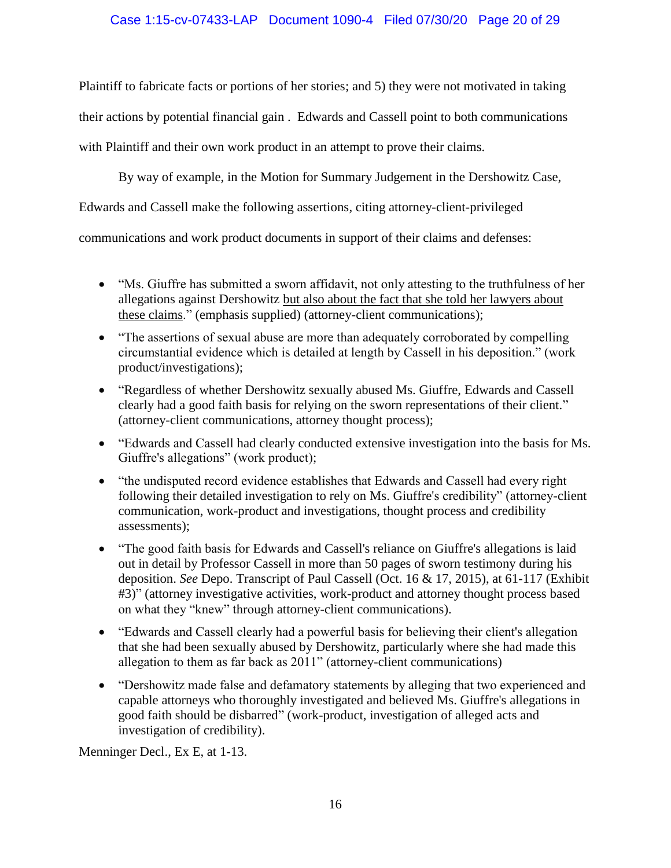# Case 1:15-cv-07433-LAP Document 1090-4 Filed 07/30/20 Page 20 of 29

Plaintiff to fabricate facts or portions of her stories; and 5) they were not motivated in taking their actions by potential financial gain . Edwards and Cassell point to both communications with Plaintiff and their own work product in an attempt to prove their claims.

By way of example, in the Motion for Summary Judgement in the Dershowitz Case,

Edwards and Cassell make the following assertions, citing attorney-client-privileged

communications and work product documents in support of their claims and defenses:

- "Ms. Giuffre has submitted a sworn affidavit, not only attesting to the truthfulness of her allegations against Dershowitz but also about the fact that she told her lawyers about these claims." (emphasis supplied) (attorney-client communications);
- "The assertions of sexual abuse are more than adequately corroborated by compelling circumstantial evidence which is detailed at length by Cassell in his deposition." (work product/investigations);
- "Regardless of whether Dershowitz sexually abused Ms. Giuffre, Edwards and Cassell clearly had a good faith basis for relying on the sworn representations of their client." (attorney-client communications, attorney thought process);
- "Edwards and Cassell had clearly conducted extensive investigation into the basis for Ms. Giuffre's allegations" (work product);
- "the undisputed record evidence establishes that Edwards and Cassell had every right following their detailed investigation to rely on Ms. Giuffre's credibility" (attorney-client communication, work-product and investigations, thought process and credibility assessments);
- "The good faith basis for Edwards and Cassell's reliance on Giuffre's allegations is laid out in detail by Professor Cassell in more than 50 pages of sworn testimony during his deposition. *See* Depo. Transcript of Paul Cassell (Oct. 16 & 17, 2015), at 61-117 (Exhibit #3)" (attorney investigative activities, work-product and attorney thought process based on what they "knew" through attorney-client communications).
- "Edwards and Cassell clearly had a powerful basis for believing their client's allegation that she had been sexually abused by Dershowitz, particularly where she had made this allegation to them as far back as 2011" (attorney-client communications)
- "Dershowitz made false and defamatory statements by alleging that two experienced and capable attorneys who thoroughly investigated and believed Ms. Giuffre's allegations in good faith should be disbarred" (work-product, investigation of alleged acts and investigation of credibility).

Menninger Decl., Ex E, at 1-13.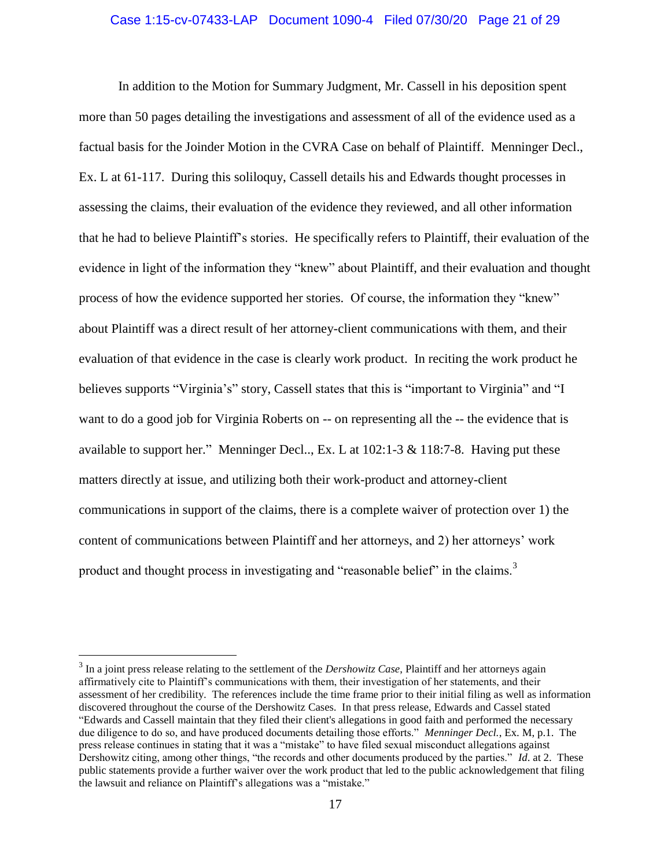### Case 1:15-cv-07433-LAP Document 1090-4 Filed 07/30/20 Page 21 of 29

In addition to the Motion for Summary Judgment, Mr. Cassell in his deposition spent more than 50 pages detailing the investigations and assessment of all of the evidence used as a factual basis for the Joinder Motion in the CVRA Case on behalf of Plaintiff. Menninger Decl., Ex. L at 61-117. During this soliloquy, Cassell details his and Edwards thought processes in assessing the claims, their evaluation of the evidence they reviewed, and all other information that he had to believe Plaintiff's stories. He specifically refers to Plaintiff, their evaluation of the evidence in light of the information they "knew" about Plaintiff, and their evaluation and thought process of how the evidence supported her stories. Of course, the information they "knew" about Plaintiff was a direct result of her attorney-client communications with them, and their evaluation of that evidence in the case is clearly work product. In reciting the work product he believes supports "Virginia's" story, Cassell states that this is "important to Virginia" and "I want to do a good job for Virginia Roberts on -- on representing all the -- the evidence that is available to support her." Menninger Decl.., Ex. L at 102:1-3 & 118:7-8. Having put these matters directly at issue, and utilizing both their work-product and attorney-client communications in support of the claims, there is a complete waiver of protection over 1) the content of communications between Plaintiff and her attorneys, and 2) her attorneys' work product and thought process in investigating and "reasonable belief" in the claims.<sup>3</sup>

 $\overline{a}$ 

<sup>3</sup> In a joint press release relating to the settlement of the *Dershowitz Case*, Plaintiff and her attorneys again affirmatively cite to Plaintiff's communications with them, their investigation of her statements, and their assessment of her credibility. The references include the time frame prior to their initial filing as well as information discovered throughout the course of the Dershowitz Cases. In that press release, Edwards and Cassel stated "Edwards and Cassell maintain that they filed their client's allegations in good faith and performed the necessary due diligence to do so, and have produced documents detailing those efforts." *Menninger Decl.*, Ex. M, p.1. The press release continues in stating that it was a "mistake" to have filed sexual misconduct allegations against Dershowitz citing, among other things, "the records and other documents produced by the parties." *Id*. at 2. These public statements provide a further waiver over the work product that led to the public acknowledgement that filing the lawsuit and reliance on Plaintiff's allegations was a "mistake."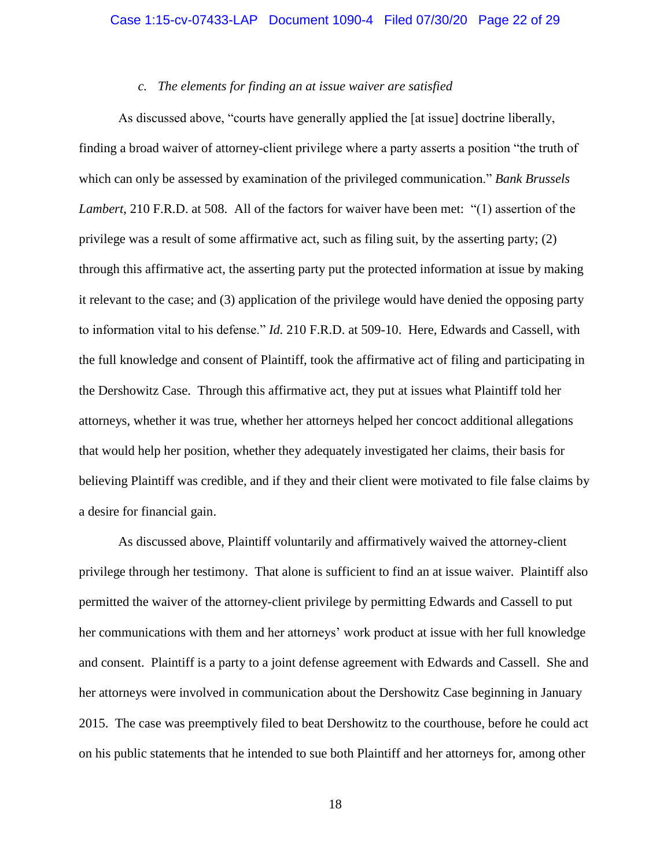### *c. The elements for finding an at issue waiver are satisfied*

<span id="page-21-0"></span>As discussed above, "courts have generally applied the [at issue] doctrine liberally, finding a broad waiver of attorney-client privilege where a party asserts a position "the truth of which can only be assessed by examination of the privileged communication." *Bank Brussels Lambert*, 210 F.R.D. at 508. All of the factors for waiver have been met: "(1) assertion of the privilege was a result of some affirmative act, such as filing suit, by the asserting party; (2) through this affirmative act, the asserting party put the protected information at issue by making it relevant to the case; and (3) application of the privilege would have denied the opposing party to information vital to his defense." *Id.* 210 F.R.D. at 509-10. Here, Edwards and Cassell, with the full knowledge and consent of Plaintiff, took the affirmative act of filing and participating in the Dershowitz Case. Through this affirmative act, they put at issues what Plaintiff told her attorneys, whether it was true, whether her attorneys helped her concoct additional allegations that would help her position, whether they adequately investigated her claims, their basis for believing Plaintiff was credible, and if they and their client were motivated to file false claims by a desire for financial gain.

As discussed above, Plaintiff voluntarily and affirmatively waived the attorney-client privilege through her testimony. That alone is sufficient to find an at issue waiver. Plaintiff also permitted the waiver of the attorney-client privilege by permitting Edwards and Cassell to put her communications with them and her attorneys' work product at issue with her full knowledge and consent. Plaintiff is a party to a joint defense agreement with Edwards and Cassell. She and her attorneys were involved in communication about the Dershowitz Case beginning in January 2015. The case was preemptively filed to beat Dershowitz to the courthouse, before he could act on his public statements that he intended to sue both Plaintiff and her attorneys for, among other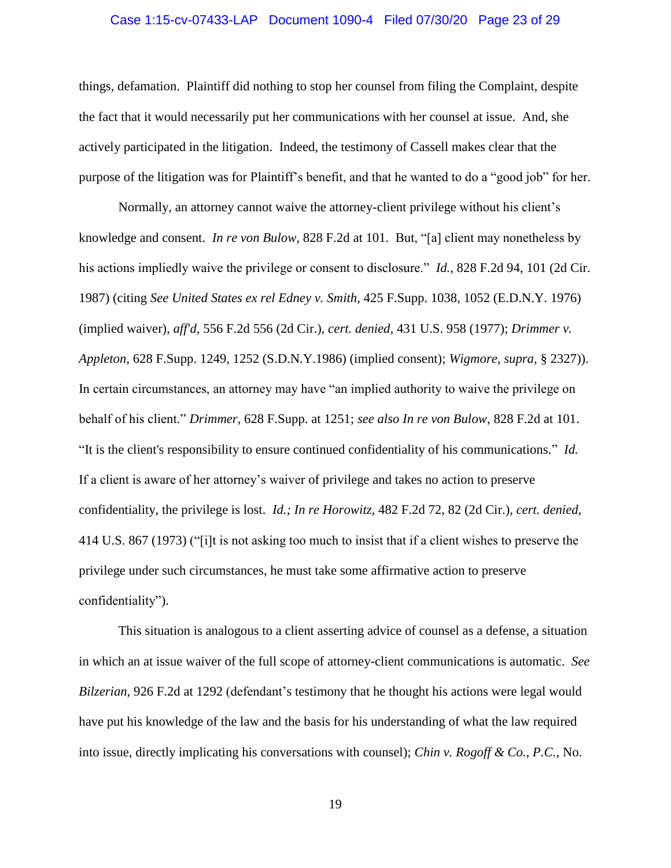### Case 1:15-cv-07433-LAP Document 1090-4 Filed 07/30/20 Page 23 of 29

things, defamation. Plaintiff did nothing to stop her counsel from filing the Complaint, despite the fact that it would necessarily put her communications with her counsel at issue. And, she actively participated in the litigation. Indeed, the testimony of Cassell makes clear that the purpose of the litigation was for Plaintiff's benefit, and that he wanted to do a "good job" for her.

Normally, an attorney cannot waive the attorney-client privilege without his client's knowledge and consent. *In re von Bulow*, 828 F.2d at 101. But, "[a] client may nonetheless by his actions impliedly waive the privilege or consent to disclosure." *Id.*, 828 F.2d 94, 101 (2d Cir. 1987) (citing *See United States ex rel Edney v. Smith,* 425 F.Supp. 1038, 1052 (E.D.N.Y. 1976) (implied waiver), *aff'd,* 556 F.2d 556 (2d Cir.), *cert. denied,* 431 U.S. 958 (1977); *Drimmer v. Appleton,* 628 F.Supp. 1249, 1252 (S.D.N.Y.1986) (implied consent); *Wigmore, supra,* § 2327)). In certain circumstances, an attorney may have "an implied authority to waive the privilege on behalf of his client." *Drimmer,* 628 F.Supp. at 1251; *see also In re von Bulow*, 828 F.2d at 101. "It is the client's responsibility to ensure continued confidentiality of his communications." *Id.* If a client is aware of her attorney's waiver of privilege and takes no action to preserve confidentiality, the privilege is lost. *Id.; In re Horowitz,* 482 F.2d 72, 82 (2d Cir.), *cert. denied,* 414 U.S. 867 (1973) ("[i]t is not asking too much to insist that if a client wishes to preserve the privilege under such circumstances, he must take some affirmative action to preserve confidentiality").

This situation is analogous to a client asserting advice of counsel as a defense, a situation in which an at issue waiver of the full scope of attorney-client communications is automatic. *See Bilzerian,* [926 F.2d at 1292](http://www.westlaw.com/Link/Document/FullText?findType=Y&serNum=1991018034&pubNum=350&originatingDoc=I71d728f2560d11d997e0acd5cbb90d3f&refType=RP&originationContext=document&vr=3.0&rs=cblt1.0&transitionType=DocumentItem&contextData=(sc.Search)) (defendant's testimony that he thought his actions were legal would have put his knowledge of the law and the basis for his understanding of what the law required into issue, directly implicating his conversations with counsel); *Chin v. Rogoff & Co., P.C.*, No.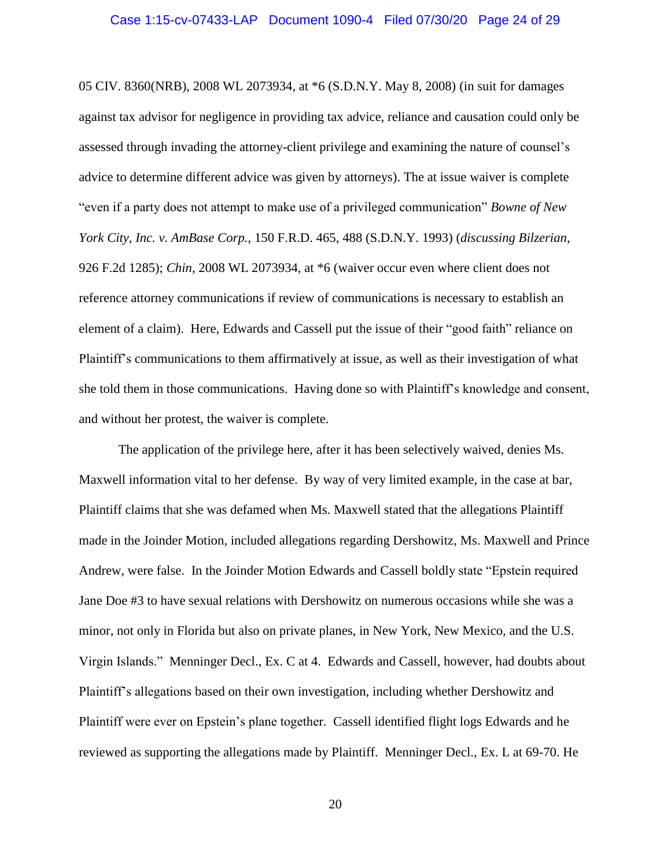05 CIV. 8360(NRB), 2008 WL 2073934, at \*6 (S.D.N.Y. May 8, 2008) (in suit for damages against tax advisor for negligence in providing tax advice, reliance and causation could only be assessed through invading the attorney-client privilege and examining the nature of counsel's advice to determine different advice was given by attorneys). The at issue waiver is complete "even if a party does not attempt to make use of a privileged communication" *Bowne of New York City, Inc. v. AmBase Corp.*, 150 F.R.D. 465, 488 (S.D.N.Y. 1993) (*discussing Bilzerian*, 926 F.2d 1285); *Chin,* 2008 WL 2073934, at \*6 (waiver occur even where client does not reference attorney communications if review of communications is necessary to establish an element of a claim). Here, Edwards and Cassell put the issue of their "good faith" reliance on Plaintiff's communications to them affirmatively at issue, as well as their investigation of what she told them in those communications. Having done so with Plaintiff's knowledge and consent, and without her protest, the waiver is complete.

The application of the privilege here, after it has been selectively waived, denies Ms. Maxwell information vital to her defense. By way of very limited example, in the case at bar, Plaintiff claims that she was defamed when Ms. Maxwell stated that the allegations Plaintiff made in the Joinder Motion, included allegations regarding Dershowitz, Ms. Maxwell and Prince Andrew, were false. In the Joinder Motion Edwards and Cassell boldly state "Epstein required Jane Doe #3 to have sexual relations with Dershowitz on numerous occasions while she was a minor, not only in Florida but also on private planes, in New York, New Mexico, and the U.S. Virgin Islands." Menninger Decl., Ex. C at 4. Edwards and Cassell, however, had doubts about Plaintiff's allegations based on their own investigation, including whether Dershowitz and Plaintiff were ever on Epstein's plane together. Cassell identified flight logs Edwards and he reviewed as supporting the allegations made by Plaintiff. Menninger Decl*.*, Ex. L at 69-70. He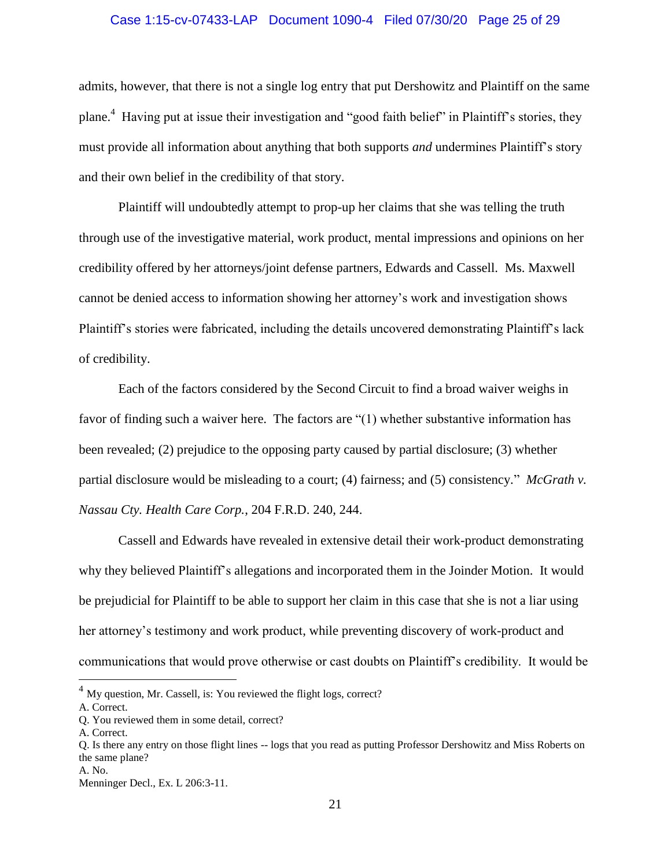### Case 1:15-cv-07433-LAP Document 1090-4 Filed 07/30/20 Page 25 of 29

admits, however, that there is not a single log entry that put Dershowitz and Plaintiff on the same plane.<sup>4</sup> Having put at issue their investigation and "good faith belief" in Plaintiff's stories, they must provide all information about anything that both supports *and* undermines Plaintiff's story and their own belief in the credibility of that story.

Plaintiff will undoubtedly attempt to prop-up her claims that she was telling the truth through use of the investigative material, work product, mental impressions and opinions on her credibility offered by her attorneys/joint defense partners, Edwards and Cassell. Ms. Maxwell cannot be denied access to information showing her attorney's work and investigation shows Plaintiff's stories were fabricated, including the details uncovered demonstrating Plaintiff's lack of credibility.

Each of the factors considered by the Second Circuit to find a broad waiver weighs in favor of finding such a waiver here. The factors are "(1) whether substantive information has been revealed; (2) prejudice to the opposing party caused by partial disclosure; (3) whether partial disclosure would be misleading to a court; (4) fairness; and (5) consistency." *McGrath v. Nassau Cty. Health Care Corp.*, 204 F.R.D. 240, 244.

Cassell and Edwards have revealed in extensive detail their work-product demonstrating why they believed Plaintiff's allegations and incorporated them in the Joinder Motion. It would be prejudicial for Plaintiff to be able to support her claim in this case that she is not a liar using her attorney's testimony and work product, while preventing discovery of work-product and communications that would prove otherwise or cast doubts on Plaintiff's credibility. It would be

 $\overline{a}$ 

 $<sup>4</sup>$  My question, Mr. Cassell, is: You reviewed the flight logs, correct?</sup>

A. Correct.

Q. You reviewed them in some detail, correct?

A. Correct.

Q. Is there any entry on those flight lines -- logs that you read as putting Professor Dershowitz and Miss Roberts on the same plane?

A. No.

Menninger Decl., Ex. L 206:3-11.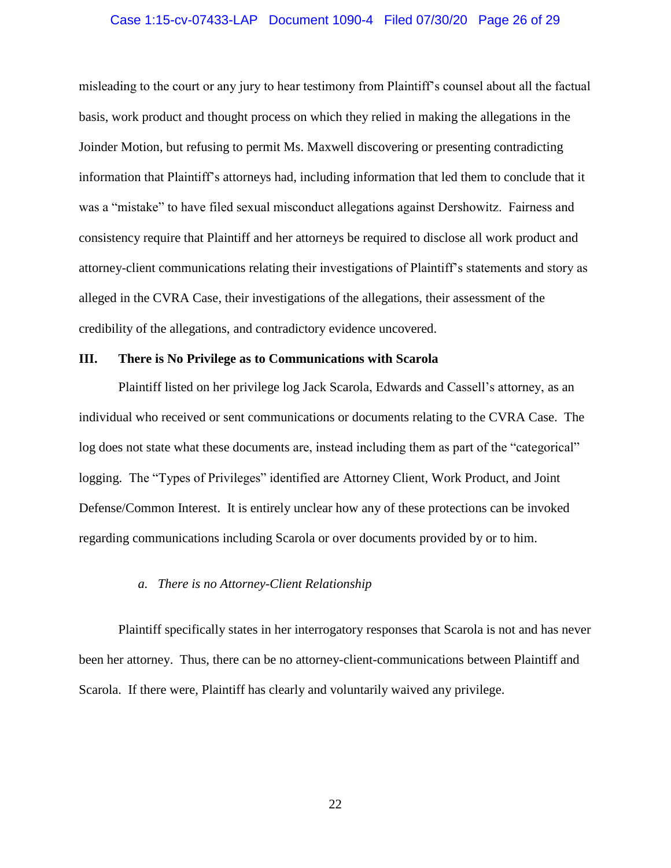#### Case 1:15-cv-07433-LAP Document 1090-4 Filed 07/30/20 Page 26 of 29

misleading to the court or any jury to hear testimony from Plaintiff's counsel about all the factual basis, work product and thought process on which they relied in making the allegations in the Joinder Motion, but refusing to permit Ms. Maxwell discovering or presenting contradicting information that Plaintiff's attorneys had, including information that led them to conclude that it was a "mistake" to have filed sexual misconduct allegations against Dershowitz. Fairness and consistency require that Plaintiff and her attorneys be required to disclose all work product and attorney-client communications relating their investigations of Plaintiff's statements and story as alleged in the CVRA Case, their investigations of the allegations, their assessment of the credibility of the allegations, and contradictory evidence uncovered.

### <span id="page-25-0"></span>**III. There is No Privilege as to Communications with Scarola**

Plaintiff listed on her privilege log Jack Scarola, Edwards and Cassell's attorney, as an individual who received or sent communications or documents relating to the CVRA Case. The log does not state what these documents are, instead including them as part of the "categorical" logging. The "Types of Privileges" identified are Attorney Client, Work Product, and Joint Defense/Common Interest. It is entirely unclear how any of these protections can be invoked regarding communications including Scarola or over documents provided by or to him.

### *a. There is no Attorney-Client Relationship*

<span id="page-25-1"></span>Plaintiff specifically states in her interrogatory responses that Scarola is not and has never been her attorney. Thus, there can be no attorney-client-communications between Plaintiff and Scarola. If there were, Plaintiff has clearly and voluntarily waived any privilege.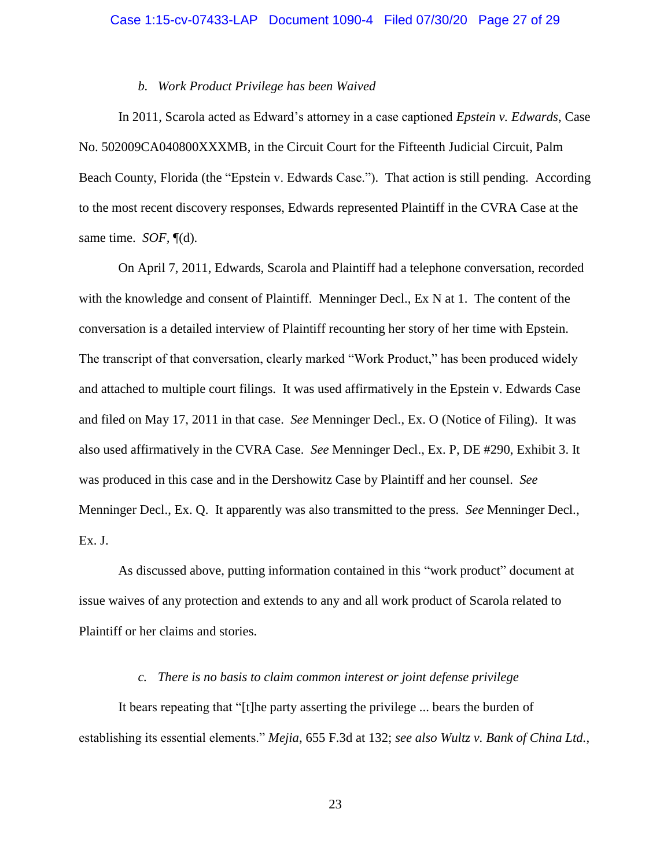#### *b. Work Product Privilege has been Waived*

<span id="page-26-0"></span>In 2011, Scarola acted as Edward's attorney in a case captioned *Epstein v. Edwards*, Case No. 502009CA040800XXXMB, in the Circuit Court for the Fifteenth Judicial Circuit, Palm Beach County, Florida (the "Epstein v. Edwards Case."). That action is still pending. According to the most recent discovery responses, Edwards represented Plaintiff in the CVRA Case at the same time. *SOF,* [¶\(d\).](#page-7-0)

On April 7, 2011, Edwards, Scarola and Plaintiff had a telephone conversation, recorded with the knowledge and consent of Plaintiff. Menninger Decl., Ex N at 1. The content of the conversation is a detailed interview of Plaintiff recounting her story of her time with Epstein. The transcript of that conversation, clearly marked "Work Product," has been produced widely and attached to multiple court filings. It was used affirmatively in the Epstein v. Edwards Case and filed on May 17, 2011 in that case. *See* Menninger Decl., Ex. O (Notice of Filing). It was also used affirmatively in the CVRA Case. *See* Menninger Decl., Ex. P, DE #290, Exhibit 3. It was produced in this case and in the Dershowitz Case by Plaintiff and her counsel. *See* Menninger Decl., Ex. Q. It apparently was also transmitted to the press. *See* Menninger Decl., Ex. J.

As discussed above, putting information contained in this "work product" document at issue waives of any protection and extends to any and all work product of Scarola related to Plaintiff or her claims and stories.

### *c. There is no basis to claim common interest or joint defense privilege*

<span id="page-26-1"></span>It bears repeating that "[t]he party asserting the privilege ... bears the burden of establishing its essential elements." *Mejia*, 655 F.3d at 132; *see also Wultz v. Bank of China Ltd.*,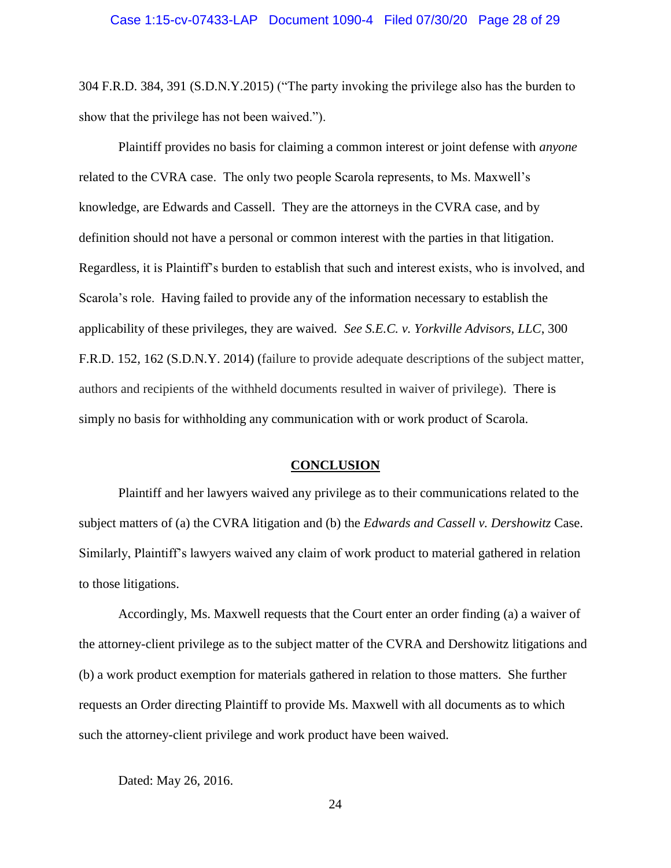304 F.R.D. 384, 391 (S.D.N.Y.2015) ("The party invoking the privilege also has the burden to show that the privilege has not been waived.").

Plaintiff provides no basis for claiming a common interest or joint defense with *anyone* related to the CVRA case. The only two people Scarola represents, to Ms. Maxwell's knowledge, are Edwards and Cassell. They are the attorneys in the CVRA case, and by definition should not have a personal or common interest with the parties in that litigation. Regardless, it is Plaintiff's burden to establish that such and interest exists, who is involved, and Scarola's role. Having failed to provide any of the information necessary to establish the applicability of these privileges, they are waived. *See S.E.C. v. Yorkville Advisors, LLC*, 300 F.R.D. 152, 162 (S.D.N.Y. 2014) (failure to provide adequate descriptions of the subject matter, authors and recipients of the withheld documents resulted in waiver of privilege). There is simply no basis for withholding any communication with or work product of Scarola.

### **CONCLUSION**

<span id="page-27-0"></span>Plaintiff and her lawyers waived any privilege as to their communications related to the subject matters of (a) the CVRA litigation and (b) the *Edwards and Cassell v. Dershowitz* Case. Similarly, Plaintiff's lawyers waived any claim of work product to material gathered in relation to those litigations.

Accordingly, Ms. Maxwell requests that the Court enter an order finding (a) a waiver of the attorney-client privilege as to the subject matter of the CVRA and Dershowitz litigations and (b) a work product exemption for materials gathered in relation to those matters. She further requests an Order directing Plaintiff to provide Ms. Maxwell with all documents as to which such the attorney-client privilege and work product have been waived.

Dated: May 26, 2016.